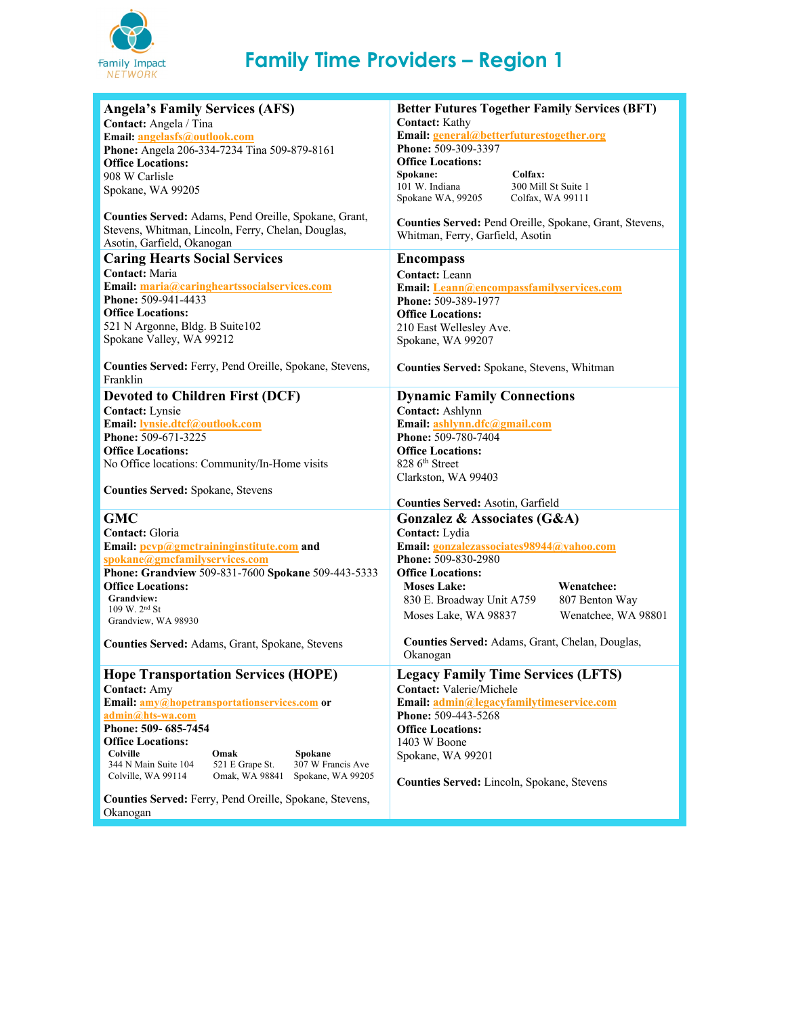

## **Family Time Providers – Region 1**

| <b>Angela's Family Services (AFS)</b>                        | <b>Better Futures Together Family Services (BFT)</b><br><b>Contact:</b> Kathy |
|--------------------------------------------------------------|-------------------------------------------------------------------------------|
| Contact: Angela / Tina                                       |                                                                               |
| Email: angelasfs@outlook.com                                 | Email: general@betterfuturestogether.org                                      |
| Phone: Angela 206-334-7234 Tina 509-879-8161                 | Phone: 509-309-3397                                                           |
| <b>Office Locations:</b>                                     | <b>Office Locations:</b>                                                      |
| 908 W Carlisle                                               | Colfax:<br>Spokane:                                                           |
| Spokane, WA 99205                                            | 101 W. Indiana<br>300 Mill St Suite 1                                         |
|                                                              | Spokane WA, 99205<br>Colfax, WA 99111                                         |
|                                                              |                                                                               |
| Counties Served: Adams, Pend Oreille, Spokane, Grant,        | Counties Served: Pend Oreille, Spokane, Grant, Stevens,                       |
| Stevens, Whitman, Lincoln, Ferry, Chelan, Douglas,           | Whitman, Ferry, Garfield, Asotin                                              |
| Asotin, Garfield, Okanogan                                   |                                                                               |
| <b>Caring Hearts Social Services</b>                         | <b>Encompass</b>                                                              |
| Contact: Maria                                               | Contact: Leann                                                                |
| Email: maria@caringheartssocialservices.com                  |                                                                               |
|                                                              | Email: Leann@encompassfamilyservices.com                                      |
| <b>Phone: 509-941-4433</b>                                   | Phone: 509-389-1977                                                           |
| <b>Office Locations:</b>                                     | <b>Office Locations:</b>                                                      |
| 521 N Argonne, Bldg. B Suite102                              | 210 East Wellesley Ave.                                                       |
| Spokane Valley, WA 99212                                     | Spokane, WA 99207                                                             |
|                                                              |                                                                               |
| Counties Served: Ferry, Pend Oreille, Spokane, Stevens,      | Counties Served: Spokane, Stevens, Whitman                                    |
| Franklin                                                     |                                                                               |
|                                                              |                                                                               |
| <b>Devoted to Children First (DCF)</b>                       | <b>Dynamic Family Connections</b>                                             |
| Contact: Lynsie                                              | Contact: Ashlynn                                                              |
| Email: lynsie.dtcf@outlook.com                               | Email: ashlynn.dfc@gmail.com                                                  |
| Phone: 509-671-3225                                          | Phone: 509-780-7404                                                           |
| <b>Office Locations:</b>                                     | <b>Office Locations:</b>                                                      |
| No Office locations: Community/In-Home visits                | 828 6 <sup>th</sup> Street                                                    |
|                                                              | Clarkston, WA 99403                                                           |
| <b>Counties Served: Spokane, Stevens</b>                     |                                                                               |
|                                                              | Counties Served: Asotin, Garfield                                             |
|                                                              |                                                                               |
| <b>GMC</b>                                                   | Gonzalez & Associates (G&A)                                                   |
| Contact: Gloria                                              | Contact: Lydia                                                                |
| Email: pcvp@gmctraininginstitute.com and                     | Email: gonzalezassociates98944@yahoo.com                                      |
| spokane@gmcfamilyservices.com                                | Phone: 509-830-2980                                                           |
| Phone: Grandview 509-831-7600 Spokane 509-443-5333           | <b>Office Locations:</b>                                                      |
| <b>Office Locations:</b>                                     | <b>Moses Lake:</b><br>Wenatchee:                                              |
| <b>Grandview:</b>                                            |                                                                               |
| $109 \text{ W}$ . $2^{\text{nd}}$ St                         | 830 E. Broadway Unit A759<br>807 Benton Way                                   |
| Grandview, WA 98930                                          | Wenatchee, WA 98801<br>Moses Lake, WA 98837                                   |
|                                                              |                                                                               |
| Counties Served: Adams, Grant, Spokane, Stevens              | Counties Served: Adams, Grant, Chelan, Douglas,                               |
|                                                              | Okanogan                                                                      |
| <b>Hope Transportation Services (HOPE)</b>                   | <b>Legacy Family Time Services (LFTS)</b>                                     |
|                                                              |                                                                               |
| <b>Contact: Amy</b>                                          | <b>Contact: Valerie/Michele</b>                                               |
| Email: amy@hopetransportationservices.com or                 | Email: admin@legacyfamilytimeservice.com                                      |
| admin@hts-wa.com                                             | Phone: 509-443-5268                                                           |
| Phone: 509- 685-7454                                         | <b>Office Locations:</b>                                                      |
| <b>Office Locations:</b>                                     | 1403 W Boone                                                                  |
| Colville<br>Omak<br>Spokane                                  | Spokane, WA 99201                                                             |
| 344 N Main Suite 104<br>521 E Grape St.<br>307 W Francis Ave |                                                                               |
| Colville, WA 99114<br>Omak, WA 98841<br>Spokane, WA 99205    | Counties Served: Lincoln, Spokane, Stevens                                    |
|                                                              |                                                                               |
| Counties Served: Ferry, Pend Oreille, Spokane, Stevens,      |                                                                               |
| Okanogan                                                     |                                                                               |